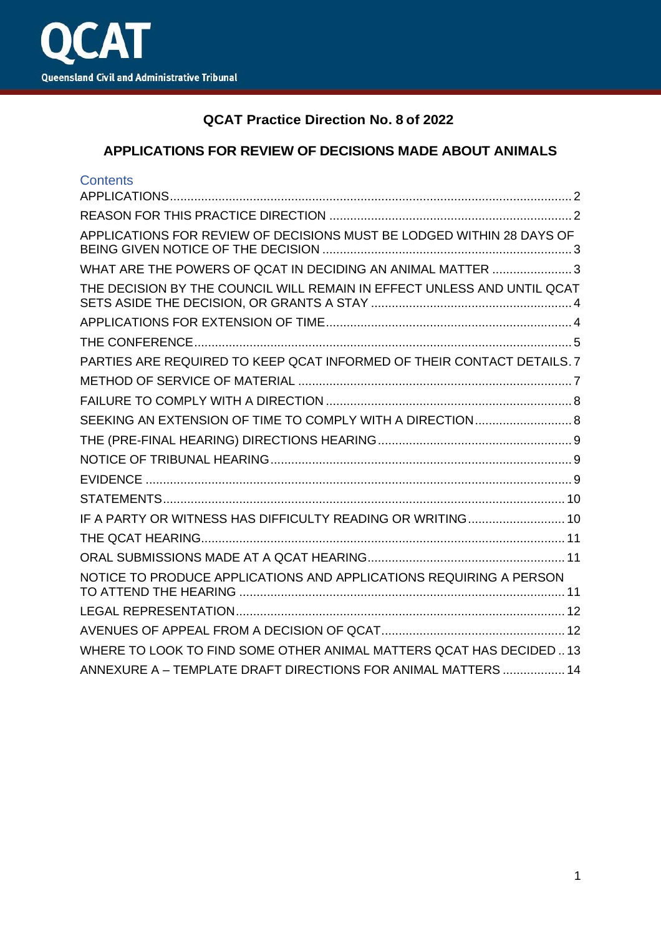

# **QCAT Practice Direction No. 8 of 2022**

## **APPLICATIONS FOR REVIEW OF DECISIONS MADE ABOUT ANIMALS**

| <b>Contents</b>                                                         |
|-------------------------------------------------------------------------|
|                                                                         |
|                                                                         |
| APPLICATIONS FOR REVIEW OF DECISIONS MUST BE LODGED WITHIN 28 DAYS OF   |
| WHAT ARE THE POWERS OF QCAT IN DECIDING AN ANIMAL MATTER 3              |
| THE DECISION BY THE COUNCIL WILL REMAIN IN EFFECT UNLESS AND UNTIL QCAT |
|                                                                         |
|                                                                         |
| PARTIES ARE REQUIRED TO KEEP QCAT INFORMED OF THEIR CONTACT DETAILS. 7  |
|                                                                         |
|                                                                         |
|                                                                         |
|                                                                         |
|                                                                         |
|                                                                         |
|                                                                         |
| IF A PARTY OR WITNESS HAS DIFFICULTY READING OR WRITING 10              |
|                                                                         |
|                                                                         |
| NOTICE TO PRODUCE APPLICATIONS AND APPLICATIONS REQUIRING A PERSON      |
|                                                                         |
|                                                                         |
| WHERE TO LOOK TO FIND SOME OTHER ANIMAL MATTERS QCAT HAS DECIDED  13    |
| ANNEXURE A - TEMPLATE DRAFT DIRECTIONS FOR ANIMAL MATTERS  14           |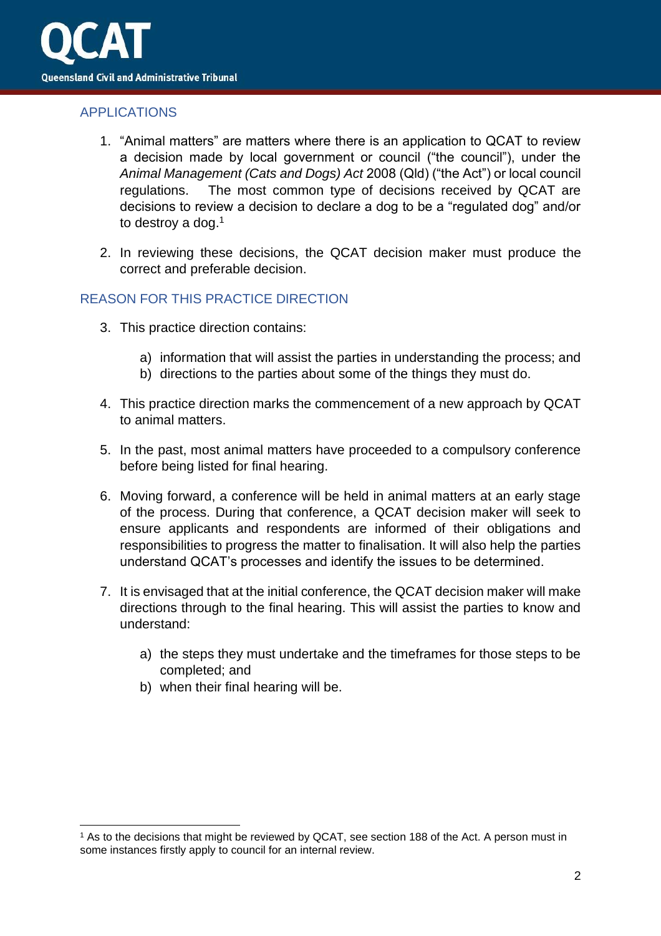

## <span id="page-1-0"></span>APPLICATIONS

- 1. "Animal matters" are matters where there is an application to QCAT to review a decision made by local government or council ("the council"), under the *Animal Management (Cats and Dogs) Act* 2008 (Qld) ("the Act") or local council regulations. The most common type of decisions received by QCAT are decisions to review a decision to declare a dog to be a "regulated dog" and/or to destroy a dog.<sup>1</sup>
- 2. In reviewing these decisions, the QCAT decision maker must produce the correct and preferable decision.

## <span id="page-1-1"></span>REASON FOR THIS PRACTICE DIRECTION

- 3. This practice direction contains:
	- a) information that will assist the parties in understanding the process; and
	- b) directions to the parties about some of the things they must do.
- 4. This practice direction marks the commencement of a new approach by QCAT to animal matters.
- 5. In the past, most animal matters have proceeded to a compulsory conference before being listed for final hearing.
- 6. Moving forward, a conference will be held in animal matters at an early stage of the process. During that conference, a QCAT decision maker will seek to ensure applicants and respondents are informed of their obligations and responsibilities to progress the matter to finalisation. It will also help the parties understand QCAT's processes and identify the issues to be determined.
- 7. It is envisaged that at the initial conference, the QCAT decision maker will make directions through to the final hearing. This will assist the parties to know and understand:
	- a) the steps they must undertake and the timeframes for those steps to be completed; and
	- b) when their final hearing will be.

<sup>1</sup> As to the decisions that might be reviewed by QCAT, see section 188 of the Act. A person must in some instances firstly apply to council for an internal review.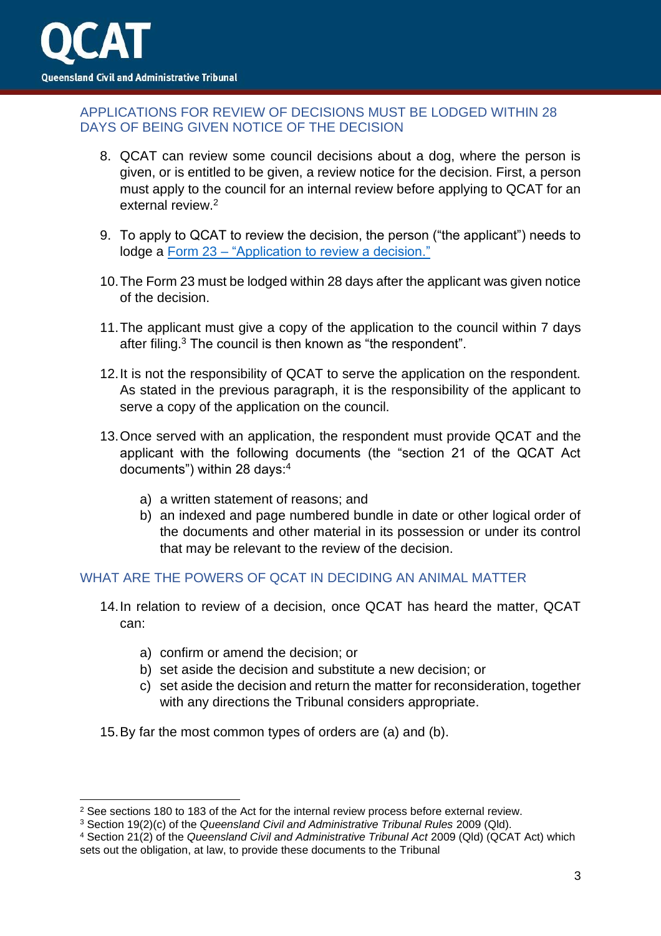

### <span id="page-2-0"></span>APPLICATIONS FOR REVIEW OF DECISIONS MUST BE LODGED WITHIN 28 DAYS OF BEING GIVEN NOTICE OF THE DECISION

- 8. QCAT can review some council decisions about a dog, where the person is given, or is entitled to be given, a review notice for the decision. First, a person must apply to the council for an internal review before applying to QCAT for an external review.<sup>2</sup>
- 9. To apply to QCAT to review the decision, the person ("the applicant") needs to lodge a Form 23 – ["Application to review a decision."](https://www.qcat.qld.gov.au/__data/assets/pdf_file/0008/101006/form-23-app-review-decision.pdf)
- 10.The Form 23 must be lodged within 28 days after the applicant was given notice of the decision.
- 11.The applicant must give a copy of the application to the council within 7 days after filing.<sup>3</sup> The council is then known as "the respondent".
- 12.It is not the responsibility of QCAT to serve the application on the respondent. As stated in the previous paragraph, it is the responsibility of the applicant to serve a copy of the application on the council.
- 13.Once served with an application, the respondent must provide QCAT and the applicant with the following documents (the "section 21 of the QCAT Act documents") within 28 days:<sup>4</sup>
	- a) a written statement of reasons; and
	- b) an indexed and page numbered bundle in date or other logical order of the documents and other material in its possession or under its control that may be relevant to the review of the decision.

### <span id="page-2-1"></span>WHAT ARE THE POWERS OF QCAT IN DECIDING AN ANIMAL MATTER

- 14.In relation to review of a decision, once QCAT has heard the matter, QCAT can:
	- a) confirm or amend the decision; or
	- b) set aside the decision and substitute a new decision; or
	- c) set aside the decision and return the matter for reconsideration, together with any directions the Tribunal considers appropriate.
- 15.By far the most common types of orders are (a) and (b).

<sup>&</sup>lt;sup>2</sup> See sections 180 to 183 of the Act for the internal review process before external review.

<sup>3</sup> Section 19(2)(c) of the *Queensland Civil and Administrative Tribunal Rules* 2009 (Qld).

<sup>4</sup> Section 21(2) of the *Queensland Civil and Administrative Tribunal Act* 2009 (Qld) (QCAT Act) which sets out the obligation, at law, to provide these documents to the Tribunal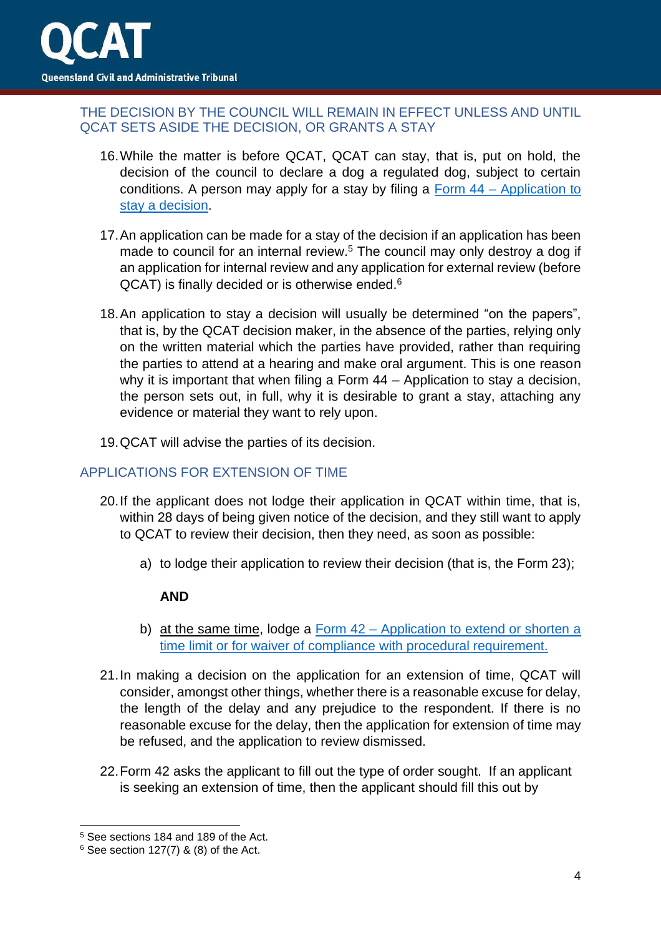

### <span id="page-3-0"></span>THE DECISION BY THE COUNCIL WILL REMAIN IN EFFECT UNLESS AND UNTIL QCAT SETS ASIDE THE DECISION, OR GRANTS A STAY

- 16.While the matter is before QCAT, QCAT can stay, that is, put on hold, the decision of the council to declare a dog a regulated dog, subject to certain conditions. A person may apply for a stay by filing a Form 44 – [Application to](https://www.qcat.qld.gov.au/__data/assets/pdf_file/0012/101091/form-44-app-to-stay-a-decision.pdf)  [stay a decision.](https://www.qcat.qld.gov.au/__data/assets/pdf_file/0012/101091/form-44-app-to-stay-a-decision.pdf)
- 17.An application can be made for a stay of the decision if an application has been made to council for an internal review.<sup>5</sup> The council may only destroy a dog if an application for internal review and any application for external review (before QCAT) is finally decided or is otherwise ended.<sup>6</sup>
- 18.An application to stay a decision will usually be determined "on the papers", that is, by the QCAT decision maker, in the absence of the parties, relying only on the written material which the parties have provided, rather than requiring the parties to attend at a hearing and make oral argument. This is one reason why it is important that when filing a Form 44 – Application to stay a decision, the person sets out, in full, why it is desirable to grant a stay, attaching any evidence or material they want to rely upon.
- 19.QCAT will advise the parties of its decision.

### <span id="page-3-1"></span>APPLICATIONS FOR EXTENSION OF TIME

- 20.If the applicant does not lodge their application in QCAT within time, that is, within 28 days of being given notice of the decision, and they still want to apply to QCAT to review their decision, then they need, as soon as possible:
	- a) to lodge their application to review their decision (that is, the Form 23);

### **AND**

- b) at the same time, lodge a Form 42 [Application to extend or shorten a](https://www.qcat.qld.gov.au/__data/assets/pdf_file/0019/101089/form-42-app-extend-shorten-time-limit.pdf)  [time limit or for waiver of compliance with procedural requirement.](https://www.qcat.qld.gov.au/__data/assets/pdf_file/0019/101089/form-42-app-extend-shorten-time-limit.pdf)
- 21.In making a decision on the application for an extension of time, QCAT will consider, amongst other things, whether there is a reasonable excuse for delay, the length of the delay and any prejudice to the respondent. If there is no reasonable excuse for the delay, then the application for extension of time may be refused, and the application to review dismissed.
- 22.Form 42 asks the applicant to fill out the type of order sought. If an applicant is seeking an extension of time, then the applicant should fill this out by

<sup>5</sup> See sections 184 and 189 of the Act.

 $6$  See section 127(7) & (8) of the Act.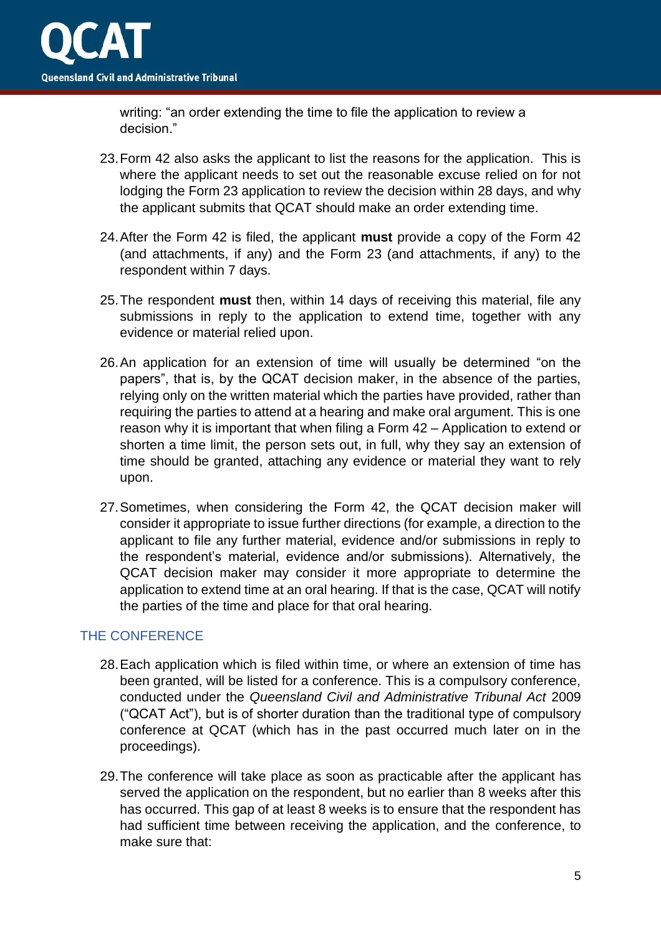

writing: "an order extending the time to file the application to review a decision."

- 23.Form 42 also asks the applicant to list the reasons for the application. This is where the applicant needs to set out the reasonable excuse relied on for not lodging the Form 23 application to review the decision within 28 days, and why the applicant submits that QCAT should make an order extending time.
- 24.After the Form 42 is filed, the applicant **must** provide a copy of the Form 42 (and attachments, if any) and the Form 23 (and attachments, if any) to the respondent within 7 days.
- 25.The respondent **must** then, within 14 days of receiving this material, file any submissions in reply to the application to extend time, together with any evidence or material relied upon.
- 26.An application for an extension of time will usually be determined "on the papers", that is, by the QCAT decision maker, in the absence of the parties, relying only on the written material which the parties have provided, rather than requiring the parties to attend at a hearing and make oral argument. This is one reason why it is important that when filing a Form 42 – Application to extend or shorten a time limit, the person sets out, in full, why they say an extension of time should be granted, attaching any evidence or material they want to rely upon.
- 27.Sometimes, when considering the Form 42, the QCAT decision maker will consider it appropriate to issue further directions (for example, a direction to the applicant to file any further material, evidence and/or submissions in reply to the respondent's material, evidence and/or submissions). Alternatively, the QCAT decision maker may consider it more appropriate to determine the application to extend time at an oral hearing. If that is the case, QCAT will notify the parties of the time and place for that oral hearing.

### <span id="page-4-0"></span>THE CONFERENCE

- 28.Each application which is filed within time, or where an extension of time has been granted, will be listed for a conference. This is a compulsory conference, conducted under the *Queensland Civil and Administrative Tribunal Act* 2009 ("QCAT Act"), but is of shorter duration than the traditional type of compulsory conference at QCAT (which has in the past occurred much later on in the proceedings).
- 29.The conference will take place as soon as practicable after the applicant has served the application on the respondent, but no earlier than 8 weeks after this has occurred. This gap of at least 8 weeks is to ensure that the respondent has had sufficient time between receiving the application, and the conference, to make sure that: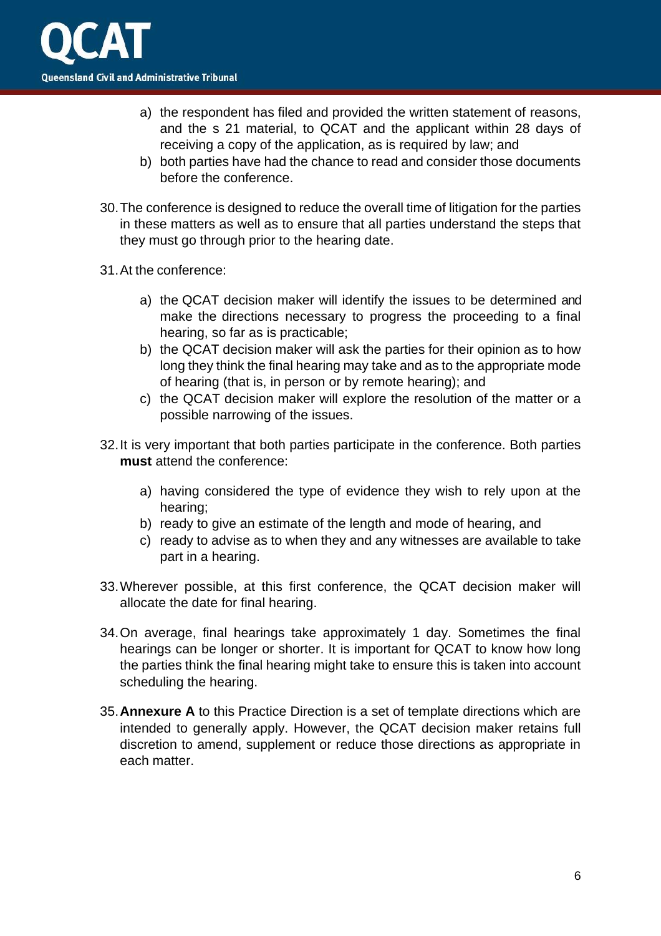- a) the respondent has filed and provided the written statement of reasons, and the s 21 material, to QCAT and the applicant within 28 days of receiving a copy of the application, as is required by law; and
- b) both parties have had the chance to read and consider those documents before the conference.
- 30.The conference is designed to reduce the overall time of litigation for the parties in these matters as well as to ensure that all parties understand the steps that they must go through prior to the hearing date.
- 31.At the conference:
	- a) the QCAT decision maker will identify the issues to be determined and make the directions necessary to progress the proceeding to a final hearing, so far as is practicable;
	- b) the QCAT decision maker will ask the parties for their opinion as to how long they think the final hearing may take and as to the appropriate mode of hearing (that is, in person or by remote hearing); and
	- c) the QCAT decision maker will explore the resolution of the matter or a possible narrowing of the issues.
- 32.It is very important that both parties participate in the conference. Both parties **must** attend the conference:
	- a) having considered the type of evidence they wish to rely upon at the hearing;
	- b) ready to give an estimate of the length and mode of hearing, and
	- c) ready to advise as to when they and any witnesses are available to take part in a hearing.
- 33.Wherever possible, at this first conference, the QCAT decision maker will allocate the date for final hearing.
- 34.On average, final hearings take approximately 1 day. Sometimes the final hearings can be longer or shorter. It is important for QCAT to know how long the parties think the final hearing might take to ensure this is taken into account scheduling the hearing.
- 35.**Annexure A** to this Practice Direction is a set of template directions which are intended to generally apply. However, the QCAT decision maker retains full discretion to amend, supplement or reduce those directions as appropriate in each matter.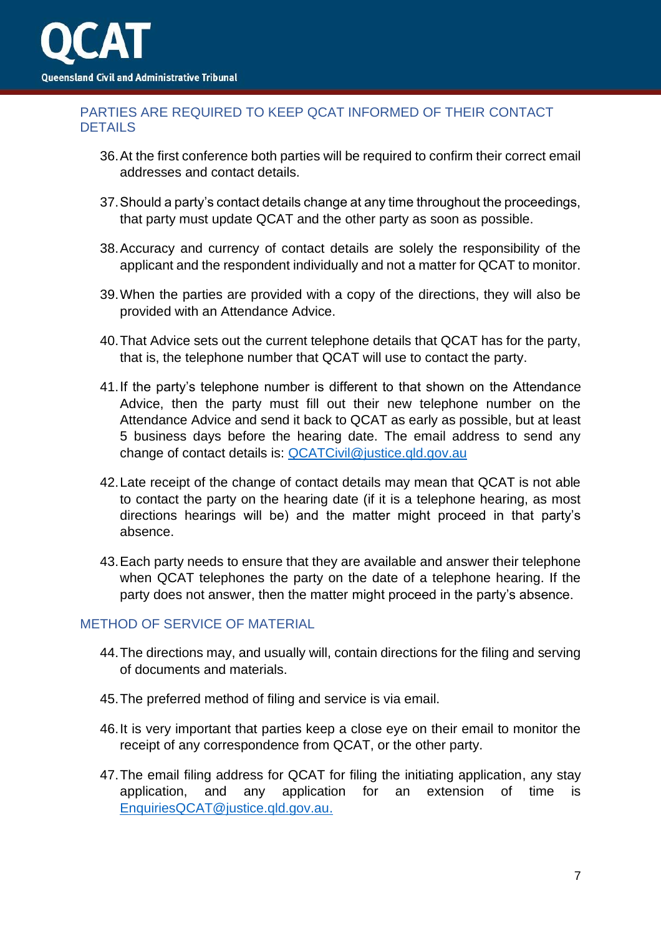

## <span id="page-6-0"></span>PARTIES ARE REQUIRED TO KEEP QCAT INFORMED OF THEIR CONTACT DETAILS

- 36.At the first conference both parties will be required to confirm their correct email addresses and contact details.
- 37.Should a party's contact details change at any time throughout the proceedings, that party must update QCAT and the other party as soon as possible.
- 38.Accuracy and currency of contact details are solely the responsibility of the applicant and the respondent individually and not a matter for QCAT to monitor.
- 39.When the parties are provided with a copy of the directions, they will also be provided with an Attendance Advice.
- 40.That Advice sets out the current telephone details that QCAT has for the party, that is, the telephone number that QCAT will use to contact the party.
- 41.If the party's telephone number is different to that shown on the Attendance Advice, then the party must fill out their new telephone number on the Attendance Advice and send it back to QCAT as early as possible, but at least 5 business days before the hearing date. The email address to send any change of contact details is: [QCATCivil@justice.qld.gov.au](mailto:QCATCivil@justice.qld.gov.au)
- 42.Late receipt of the change of contact details may mean that QCAT is not able to contact the party on the hearing date (if it is a telephone hearing, as most directions hearings will be) and the matter might proceed in that party's absence.
- 43.Each party needs to ensure that they are available and answer their telephone when QCAT telephones the party on the date of a telephone hearing. If the party does not answer, then the matter might proceed in the party's absence.

#### <span id="page-6-1"></span>METHOD OF SERVICE OF MATERIAL

- 44.The directions may, and usually will, contain directions for the filing and serving of documents and materials.
- 45.The preferred method of filing and service is via email.
- 46.It is very important that parties keep a close eye on their email to monitor the receipt of any correspondence from QCAT, or the other party.
- 47.The email filing address for QCAT for filing the initiating application, any stay application, and any application for an extension of time is [EnquiriesQCAT@justice.qld.gov.au.](mailto:EnquiriesQCAT@justice.qld.gov.au)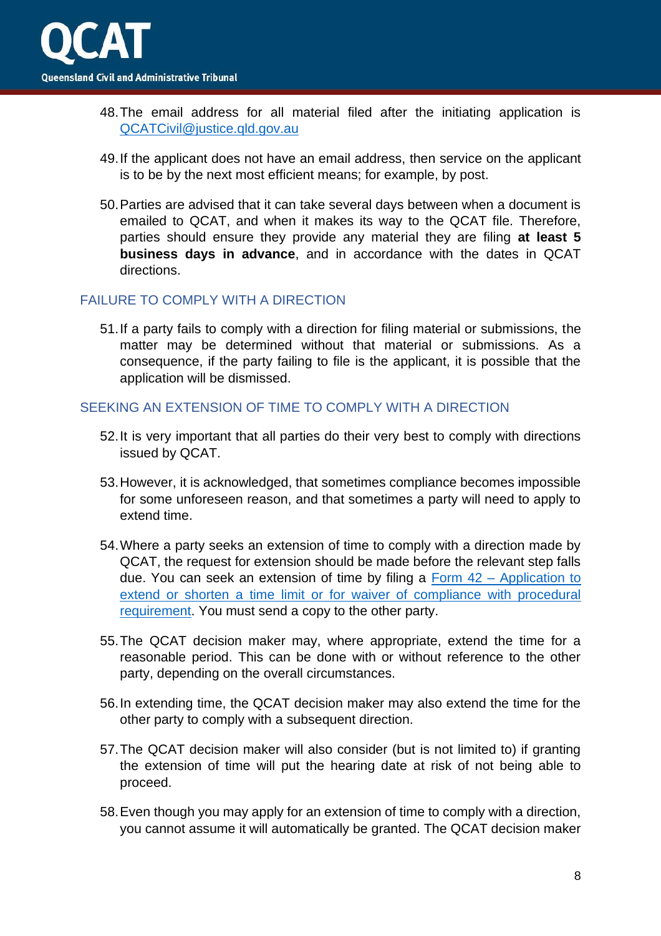- 48.The email address for all material filed after the initiating application is [QCATCivil@justice.qld.gov.au](mailto:QCATCivil@justice.qld.gov.au)
- 49.If the applicant does not have an email address, then service on the applicant is to be by the next most efficient means; for example, by post.
- 50.Parties are advised that it can take several days between when a document is emailed to QCAT, and when it makes its way to the QCAT file. Therefore, parties should ensure they provide any material they are filing **at least 5 business days in advance**, and in accordance with the dates in QCAT directions.

## <span id="page-7-0"></span>FAILURE TO COMPLY WITH A DIRECTION

51.If a party fails to comply with a direction for filing material or submissions, the matter may be determined without that material or submissions. As a consequence, if the party failing to file is the applicant, it is possible that the application will be dismissed.

### <span id="page-7-1"></span>SEEKING AN EXTENSION OF TIME TO COMPLY WITH A DIRECTION

- 52.It is very important that all parties do their very best to comply with directions issued by QCAT.
- 53.However, it is acknowledged, that sometimes compliance becomes impossible for some unforeseen reason, and that sometimes a party will need to apply to extend time.
- 54.Where a party seeks an extension of time to comply with a direction made by QCAT, the request for extension should be made before the relevant step falls due. You can seek an extension of time by filing a Form 42 – [Application to](https://www.qcat.qld.gov.au/__data/assets/pdf_file/0019/101089/form-42-app-extend-shorten-time-limit.pdf#:~:text=INSTRUCTIONS%20FOR%20COMPLETING%20FORM%2042%20Application%20to%20extend,proceeding%20by%20the%20QCAT%20Act%20or%20another%20Act)  [extend or shorten a time limit or for waiver of compliance with procedural](https://www.qcat.qld.gov.au/__data/assets/pdf_file/0019/101089/form-42-app-extend-shorten-time-limit.pdf#:~:text=INSTRUCTIONS%20FOR%20COMPLETING%20FORM%2042%20Application%20to%20extend,proceeding%20by%20the%20QCAT%20Act%20or%20another%20Act)  [requirement.](https://www.qcat.qld.gov.au/__data/assets/pdf_file/0019/101089/form-42-app-extend-shorten-time-limit.pdf#:~:text=INSTRUCTIONS%20FOR%20COMPLETING%20FORM%2042%20Application%20to%20extend,proceeding%20by%20the%20QCAT%20Act%20or%20another%20Act) You must send a copy to the other party.
- 55.The QCAT decision maker may, where appropriate, extend the time for a reasonable period. This can be done with or without reference to the other party, depending on the overall circumstances.
- 56.In extending time, the QCAT decision maker may also extend the time for the other party to comply with a subsequent direction.
- 57.The QCAT decision maker will also consider (but is not limited to) if granting the extension of time will put the hearing date at risk of not being able to proceed.
- 58.Even though you may apply for an extension of time to comply with a direction, you cannot assume it will automatically be granted. The QCAT decision maker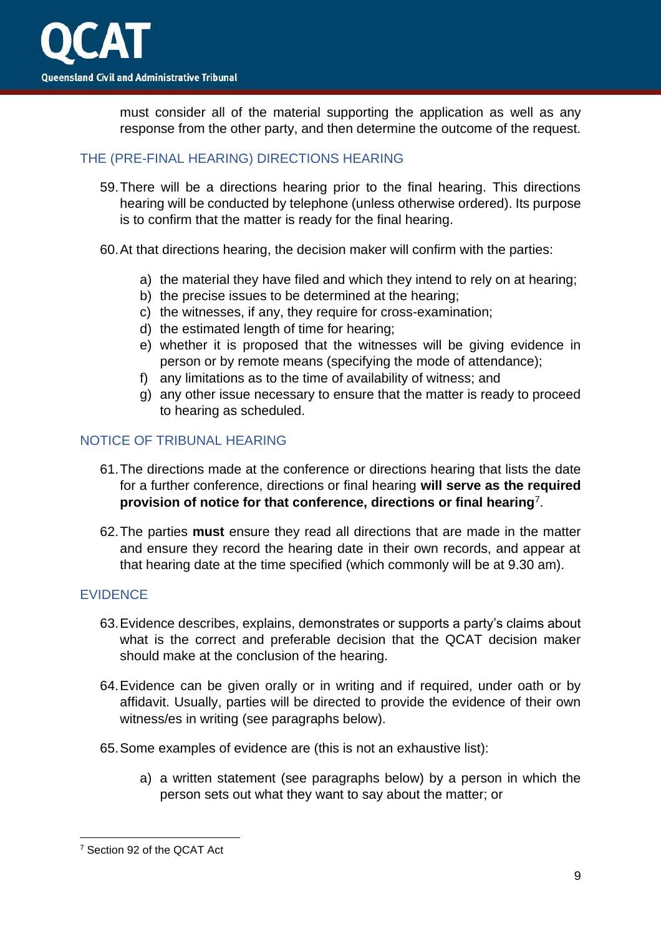must consider all of the material supporting the application as well as any response from the other party, and then determine the outcome of the request.

## <span id="page-8-0"></span>THE (PRE-FINAL HEARING) DIRECTIONS HEARING

59.There will be a directions hearing prior to the final hearing. This directions hearing will be conducted by telephone (unless otherwise ordered). Its purpose is to confirm that the matter is ready for the final hearing.

60.At that directions hearing, the decision maker will confirm with the parties:

- a) the material they have filed and which they intend to rely on at hearing;
- b) the precise issues to be determined at the hearing;
- c) the witnesses, if any, they require for cross-examination;
- d) the estimated length of time for hearing;
- e) whether it is proposed that the witnesses will be giving evidence in person or by remote means (specifying the mode of attendance);
- f) any limitations as to the time of availability of witness; and
- g) any other issue necessary to ensure that the matter is ready to proceed to hearing as scheduled.

## <span id="page-8-1"></span>NOTICE OF TRIBUNAL HEARING

- 61.The directions made at the conference or directions hearing that lists the date for a further conference, directions or final hearing **will serve as the required provision of notice for that conference, directions or final hearing**<sup>7</sup> .
- 62.The parties **must** ensure they read all directions that are made in the matter and ensure they record the hearing date in their own records, and appear at that hearing date at the time specified (which commonly will be at 9.30 am).

## <span id="page-8-2"></span>EVIDENCE

- 63.Evidence describes, explains, demonstrates or supports a party's claims about what is the correct and preferable decision that the QCAT decision maker should make at the conclusion of the hearing.
- 64.Evidence can be given orally or in writing and if required, under oath or by affidavit. Usually, parties will be directed to provide the evidence of their own witness/es in writing (see paragraphs below).
- 65.Some examples of evidence are (this is not an exhaustive list):
	- a) a written statement (see paragraphs below) by a person in which the person sets out what they want to say about the matter; or

<sup>7</sup> Section 92 of the QCAT Act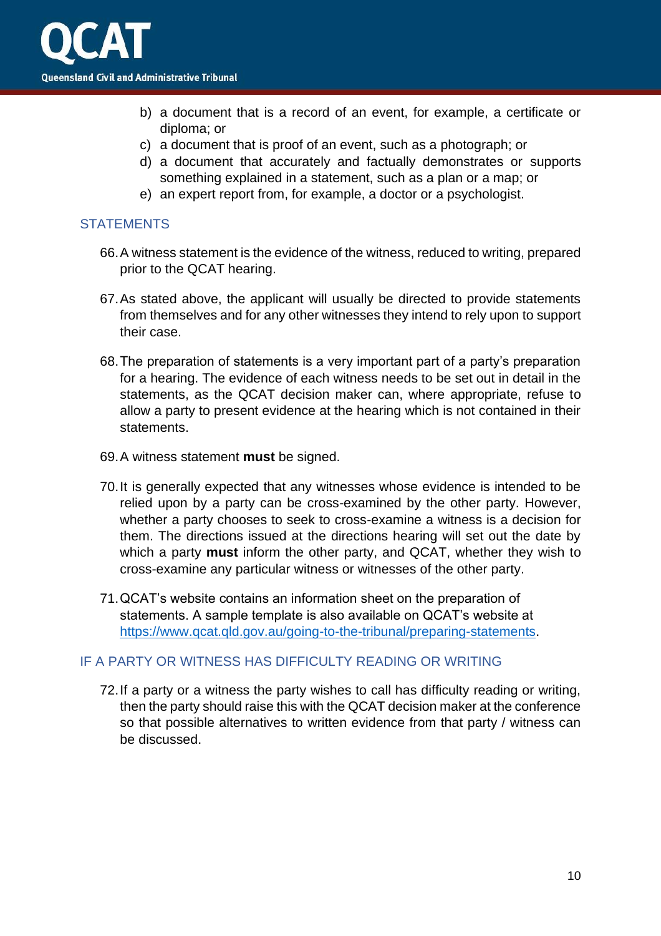

- b) a document that is a record of an event, for example, a certificate or diploma; or
- c) a document that is proof of an event, such as a photograph; or
- d) a document that accurately and factually demonstrates or supports something explained in a statement, such as a plan or a map; or
- e) an expert report from, for example, a doctor or a psychologist.

### <span id="page-9-0"></span>**STATEMENTS**

- 66.A witness statement is the evidence of the witness, reduced to writing, prepared prior to the QCAT hearing.
- 67.As stated above, the applicant will usually be directed to provide statements from themselves and for any other witnesses they intend to rely upon to support their case.
- 68.The preparation of statements is a very important part of a party's preparation for a hearing. The evidence of each witness needs to be set out in detail in the statements, as the QCAT decision maker can, where appropriate, refuse to allow a party to present evidence at the hearing which is not contained in their statements.
- 69.A witness statement **must** be signed.
- 70.It is generally expected that any witnesses whose evidence is intended to be relied upon by a party can be cross-examined by the other party. However, whether a party chooses to seek to cross-examine a witness is a decision for them. The directions issued at the directions hearing will set out the date by which a party **must** inform the other party, and QCAT, whether they wish to cross-examine any particular witness or witnesses of the other party.
- 71.QCAT's website contains an information sheet on the preparation of statements. A sample template is also available on QCAT's website at [https://www.qcat.qld.gov.au/going-to-the-tribunal/preparing-statements.](https://www.qcat.qld.gov.au/going-to-the-tribunal/preparing-statements)

### <span id="page-9-1"></span>IF A PARTY OR WITNESS HAS DIFFICULTY READING OR WRITING

72.If a party or a witness the party wishes to call has difficulty reading or writing, then the party should raise this with the QCAT decision maker at the conference so that possible alternatives to written evidence from that party / witness can be discussed.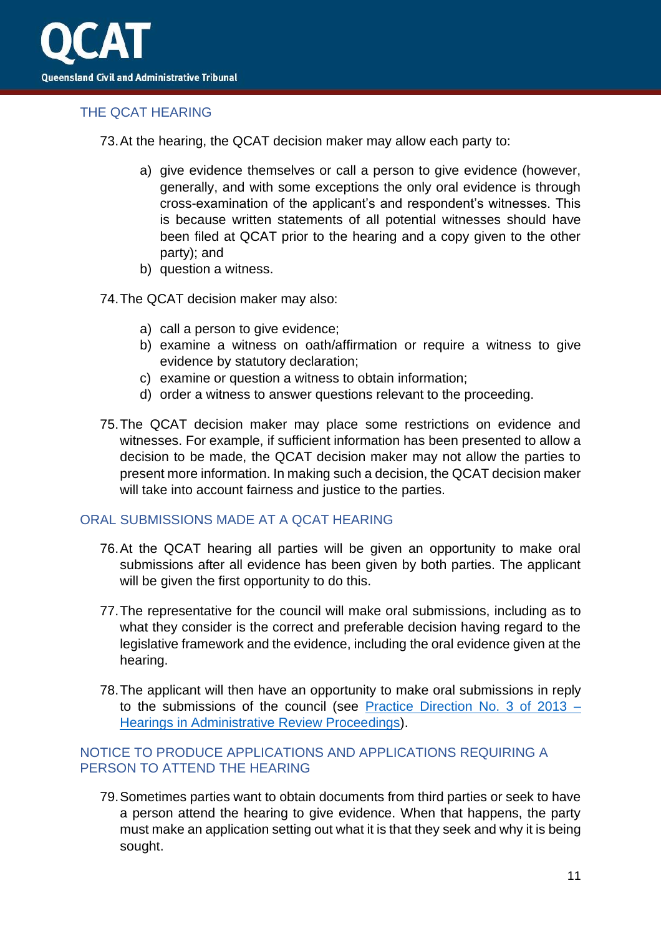

## <span id="page-10-0"></span>THE QCAT HEARING

73.At the hearing, the QCAT decision maker may allow each party to:

- a) give evidence themselves or call a person to give evidence (however, generally, and with some exceptions the only oral evidence is through cross-examination of the applicant's and respondent's witnesses. This is because written statements of all potential witnesses should have been filed at QCAT prior to the hearing and a copy given to the other party); and
- b) question a witness.
- 74.The QCAT decision maker may also:
	- a) call a person to give evidence;
	- b) examine a witness on oath/affirmation or require a witness to give evidence by statutory declaration;
	- c) examine or question a witness to obtain information;
	- d) order a witness to answer questions relevant to the proceeding.
- 75.The QCAT decision maker may place some restrictions on evidence and witnesses. For example, if sufficient information has been presented to allow a decision to be made, the QCAT decision maker may not allow the parties to present more information. In making such a decision, the QCAT decision maker will take into account fairness and justice to the parties.

## <span id="page-10-1"></span>ORAL SUBMISSIONS MADE AT A QCAT HEARING

- 76.At the QCAT hearing all parties will be given an opportunity to make oral submissions after all evidence has been given by both parties. The applicant will be given the first opportunity to do this.
- 77.The representative for the council will make oral submissions, including as to what they consider is the correct and preferable decision having regard to the legislative framework and the evidence, including the oral evidence given at the hearing.
- 78.The applicant will then have an opportunity to make oral submissions in reply to the submissions of the council (see [Practice Direction No. 3 of 2013 –](https://www.qcat.qld.gov.au/__data/assets/pdf_file/0011/182099/Practice-Direction-3-of-2013-updated-180219.pdf) [Hearings in Administrative Review Proceedings\)](https://www.qcat.qld.gov.au/__data/assets/pdf_file/0011/182099/Practice-Direction-3-of-2013-updated-180219.pdf).

## <span id="page-10-2"></span>NOTICE TO PRODUCE APPLICATIONS AND APPLICATIONS REQUIRING A PERSON TO ATTEND THE HEARING

79.Sometimes parties want to obtain documents from third parties or seek to have a person attend the hearing to give evidence. When that happens, the party must make an application setting out what it is that they seek and why it is being sought.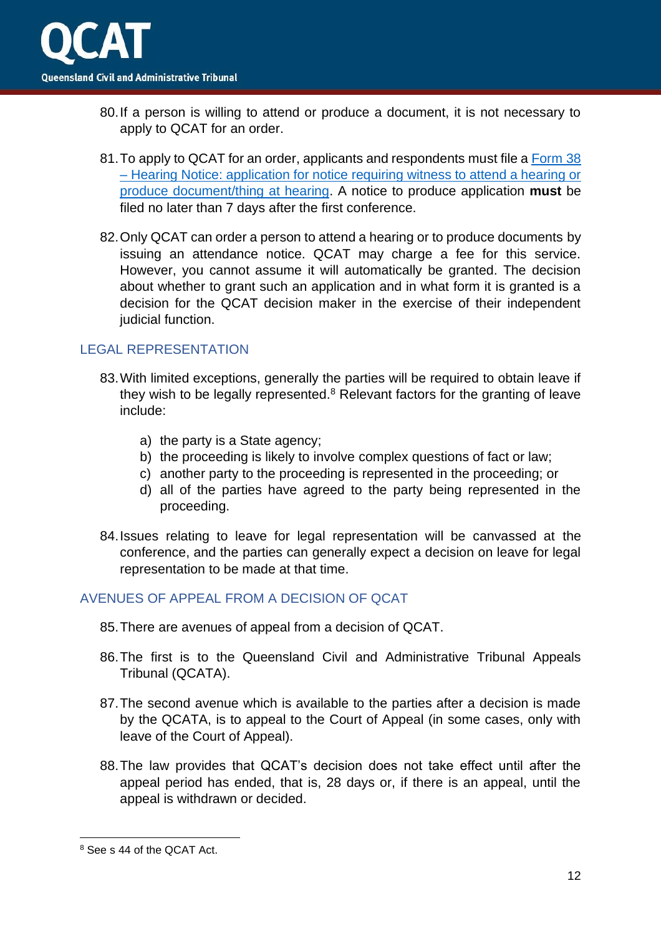- 80.If a person is willing to attend or produce a document, it is not necessary to apply to QCAT for an order.
- 81.To apply to QCAT for an order, applicants and respondents must file a [Form](https://www.qcat.qld.gov.au/__data/assets/pdf_file/0015/101085/form-38-app-for-witness-to-attend.pdf) 38 – [Hearing Notice: application for notice requiring witness to attend a hearing or](https://www.qcat.qld.gov.au/__data/assets/pdf_file/0015/101085/form-38-app-for-witness-to-attend.pdf)  [produce document/thing at hearing.](https://www.qcat.qld.gov.au/__data/assets/pdf_file/0015/101085/form-38-app-for-witness-to-attend.pdf) A notice to produce application **must** be filed no later than 7 days after the first conference.
- 82.Only QCAT can order a person to attend a hearing or to produce documents by issuing an attendance notice. QCAT may charge a fee for this service. However, you cannot assume it will automatically be granted. The decision about whether to grant such an application and in what form it is granted is a decision for the QCAT decision maker in the exercise of their independent judicial function.

### <span id="page-11-0"></span>LEGAL REPRESENTATION

- 83.With limited exceptions, generally the parties will be required to obtain leave if they wish to be legally represented. $8$  Relevant factors for the granting of leave include:
	- a) the party is a State agency;
	- b) the proceeding is likely to involve complex questions of fact or law;
	- c) another party to the proceeding is represented in the proceeding; or
	- d) all of the parties have agreed to the party being represented in the proceeding.
- 84.Issues relating to leave for legal representation will be canvassed at the conference, and the parties can generally expect a decision on leave for legal representation to be made at that time.

### <span id="page-11-1"></span>AVENUES OF APPEAL FROM A DECISION OF QCAT

- 85.There are avenues of appeal from a decision of QCAT.
- 86.The first is to the Queensland Civil and Administrative Tribunal Appeals Tribunal (QCATA).
- 87.The second avenue which is available to the parties after a decision is made by the QCATA, is to appeal to the Court of Appeal (in some cases, only with leave of the Court of Appeal).
- 88.The law provides that QCAT's decision does not take effect until after the appeal period has ended, that is, 28 days or, if there is an appeal, until the appeal is withdrawn or decided.

<sup>8</sup> See s 44 of the QCAT Act.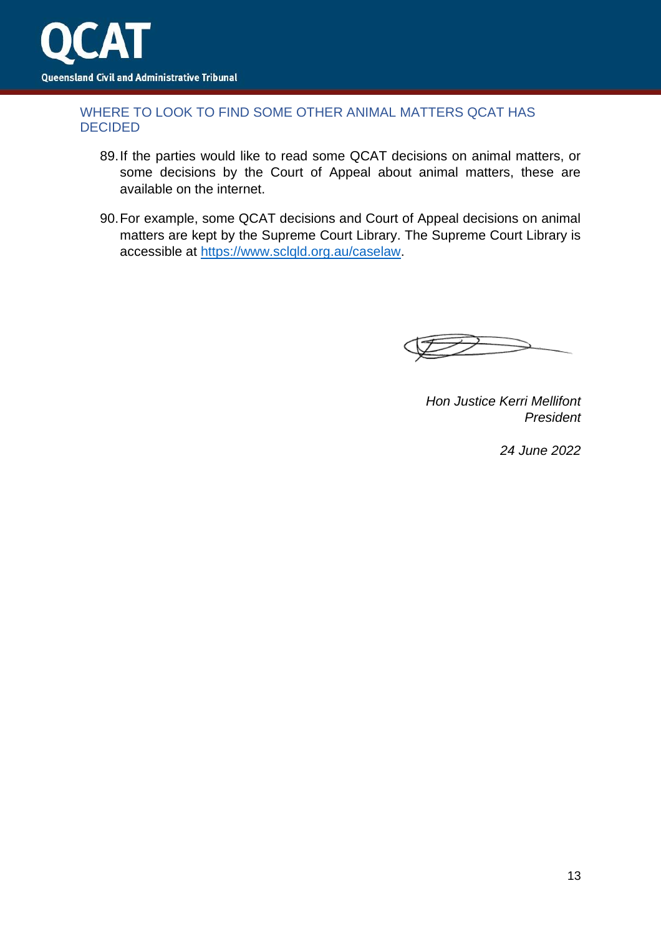

### <span id="page-12-0"></span>WHERE TO LOOK TO FIND SOME OTHER ANIMAL MATTERS QCAT HAS DECIDED

- 89.If the parties would like to read some QCAT decisions on animal matters, or some decisions by the Court of Appeal about animal matters, these are available on the internet.
- 90.For example, some QCAT decisions and Court of Appeal decisions on animal matters are kept by the Supreme Court Library. The Supreme Court Library is accessible at [https://www.sclqld.org.au/caselaw.](https://www.sclqld.org.au/caselaw)

*Hon Justice Kerri Mellifont President* 

*24 June 2022*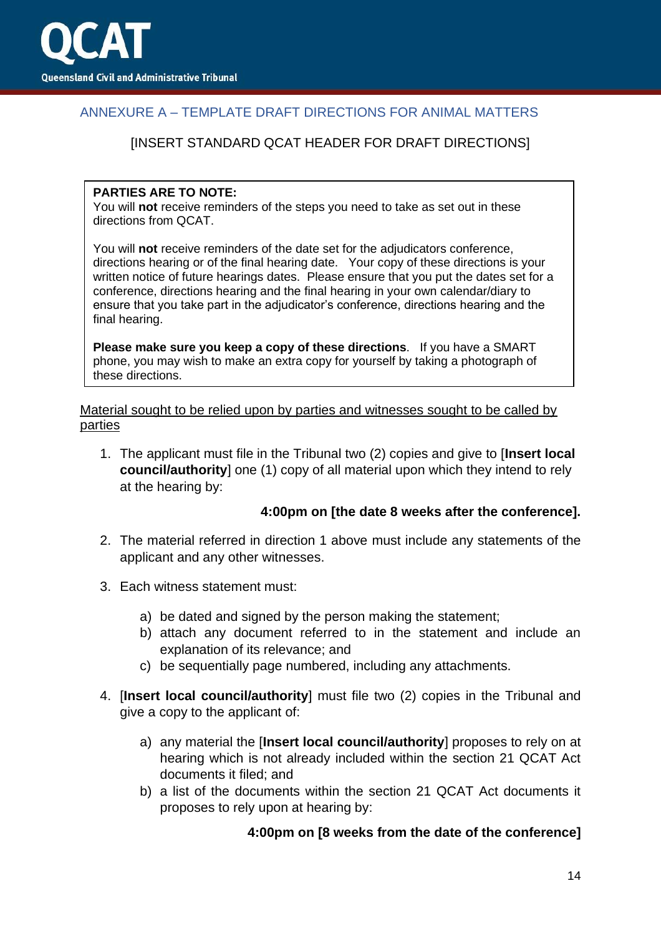

## <span id="page-13-0"></span>ANNEXURE A – TEMPLATE DRAFT DIRECTIONS FOR ANIMAL MATTERS

### [INSERT STANDARD QCAT HEADER FOR DRAFT DIRECTIONS]

#### **PARTIES ARE TO NOTE:**

You will **not** receive reminders of the steps you need to take as set out in these directions from QCAT.

You will **not** receive reminders of the date set for the adjudicators conference, directions hearing or of the final hearing date. Your copy of these directions is your written notice of future hearings dates. Please ensure that you put the dates set for a conference, directions hearing and the final hearing in your own calendar/diary to ensure that you take part in the adjudicator's conference, directions hearing and the final hearing.

**Please make sure you keep a copy of these directions**. If you have a SMART phone, you may wish to make an extra copy for yourself by taking a photograph of these directions.

Material sought to be relied upon by parties and witnesses sought to be called by parties

1. The applicant must file in the Tribunal two (2) copies and give to [**Insert local council/authority**] one (1) copy of all material upon which they intend to rely at the hearing by:

### **4:00pm on [the date 8 weeks after the conference].**

- 2. The material referred in direction 1 above must include any statements of the applicant and any other witnesses.
- 3. Each witness statement must:
	- a) be dated and signed by the person making the statement;
	- b) attach any document referred to in the statement and include an explanation of its relevance; and
	- c) be sequentially page numbered, including any attachments.
- 4. [**Insert local council/authority**] must file two (2) copies in the Tribunal and give a copy to the applicant of:
	- a) any material the [**Insert local council/authority**] proposes to rely on at hearing which is not already included within the section 21 QCAT Act documents it filed; and
	- b) a list of the documents within the section 21 QCAT Act documents it proposes to rely upon at hearing by:

### **4:00pm on [8 weeks from the date of the conference]**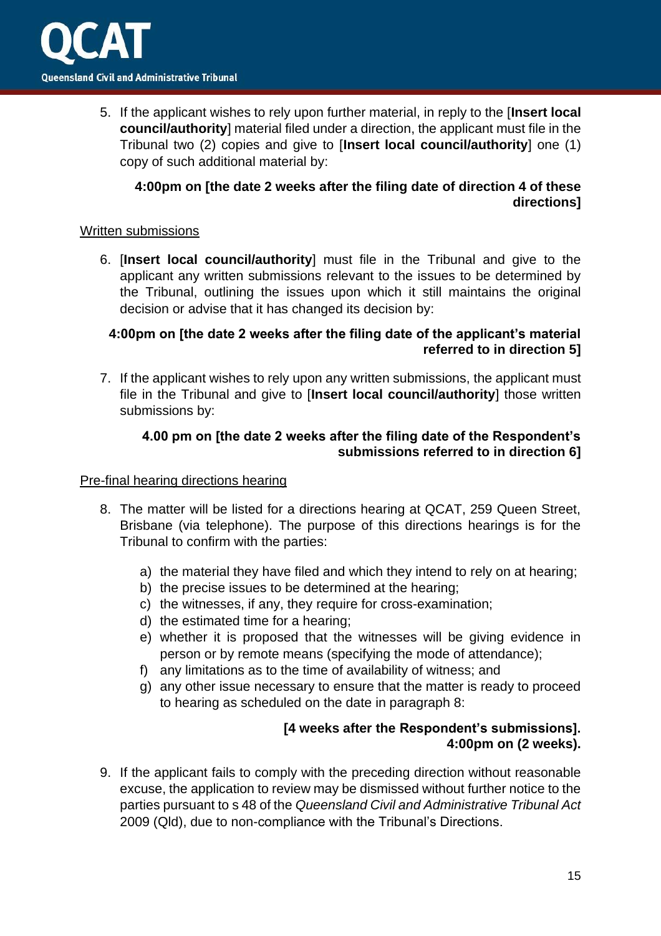5. If the applicant wishes to rely upon further material, in reply to the [**Insert local council/authority**] material filed under a direction, the applicant must file in the Tribunal two (2) copies and give to [**Insert local council/authority**] one (1) copy of such additional material by:

## **4:00pm on [the date 2 weeks after the filing date of direction 4 of these directions]**

### Written submissions

6. [**Insert local council/authority**] must file in the Tribunal and give to the applicant any written submissions relevant to the issues to be determined by the Tribunal, outlining the issues upon which it still maintains the original decision or advise that it has changed its decision by:

## **4:00pm on [the date 2 weeks after the filing date of the applicant's material referred to in direction 5]**

7. If the applicant wishes to rely upon any written submissions, the applicant must file in the Tribunal and give to [**Insert local council/authority**] those written submissions by:

## **4.00 pm on [the date 2 weeks after the filing date of the Respondent's submissions referred to in direction 6]**

## Pre-final hearing directions hearing

- 8. The matter will be listed for a directions hearing at QCAT, 259 Queen Street, Brisbane (via telephone). The purpose of this directions hearings is for the Tribunal to confirm with the parties:
	- a) the material they have filed and which they intend to rely on at hearing;
	- b) the precise issues to be determined at the hearing;
	- c) the witnesses, if any, they require for cross-examination;
	- d) the estimated time for a hearing;
	- e) whether it is proposed that the witnesses will be giving evidence in person or by remote means (specifying the mode of attendance);
	- f) any limitations as to the time of availability of witness; and
	- g) any other issue necessary to ensure that the matter is ready to proceed to hearing as scheduled on the date in paragraph 8:

## **[4 weeks after the Respondent's submissions]. 4:00pm on (2 weeks).**

9. If the applicant fails to comply with the preceding direction without reasonable excuse, the application to review may be dismissed without further notice to the parties pursuant to s 48 of the *Queensland Civil and Administrative Tribunal Act*  2009 (Qld), due to non-compliance with the Tribunal's Directions.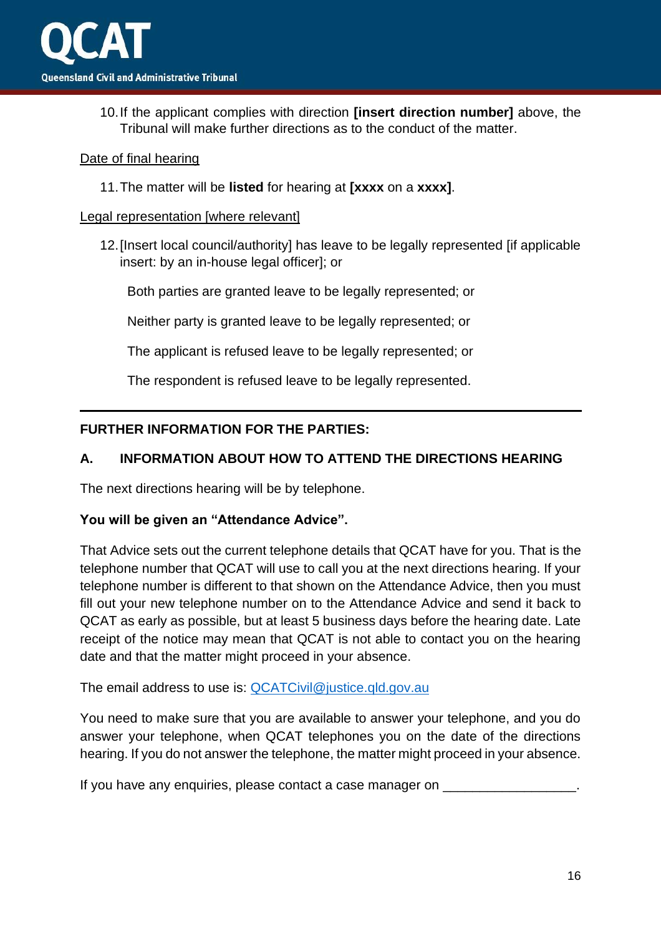10.If the applicant complies with direction **[insert direction number]** above, the Tribunal will make further directions as to the conduct of the matter.

### Date of final hearing

11.The matter will be **listed** for hearing at **[xxxx** on a **xxxx]**.

### Legal representation [where relevant]

12.[Insert local council/authority] has leave to be legally represented [if applicable insert: by an in-house legal officer]; or

Both parties are granted leave to be legally represented; or

Neither party is granted leave to be legally represented; or

The applicant is refused leave to be legally represented; or

The respondent is refused leave to be legally represented.

## **FURTHER INFORMATION FOR THE PARTIES:**

## **A. INFORMATION ABOUT HOW TO ATTEND THE DIRECTIONS HEARING**

The next directions hearing will be by telephone.

## **You will be given an "Attendance Advice".**

That Advice sets out the current telephone details that QCAT have for you. That is the telephone number that QCAT will use to call you at the next directions hearing. If your telephone number is different to that shown on the Attendance Advice, then you must fill out your new telephone number on to the Attendance Advice and send it back to QCAT as early as possible, but at least 5 business days before the hearing date. Late receipt of the notice may mean that QCAT is not able to contact you on the hearing date and that the matter might proceed in your absence.

The email address to use is: [QCATCivil@justice.qld.gov.au](mailto:QCATCivil@justice.qld.gov.au)

You need to make sure that you are available to answer your telephone, and you do answer your telephone, when QCAT telephones you on the date of the directions hearing. If you do not answer the telephone, the matter might proceed in your absence.

If you have any enquiries, please contact a case manager on